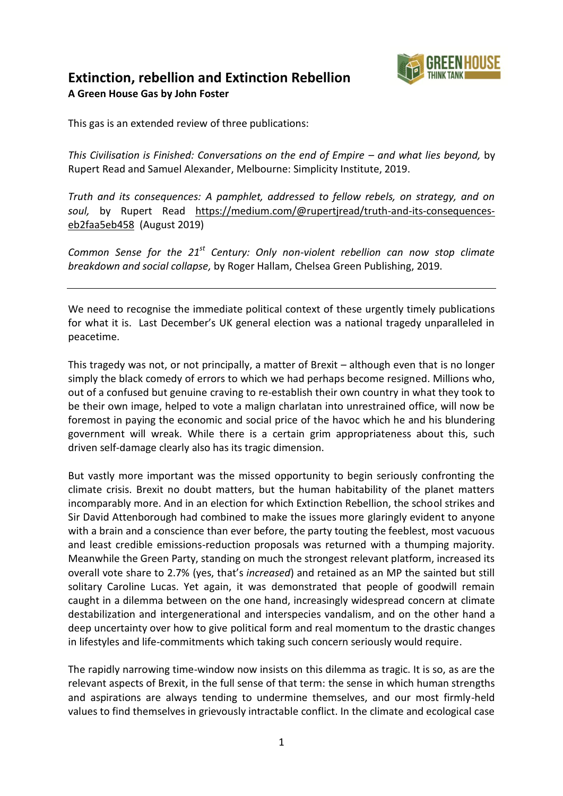

## **Extinction, rebellion and Extinction Rebellion A Green House Gas by John Foster**

This gas is an extended review of three publications:

*This Civilisation is Finished: Conversations on the end of Empire – and what lies beyond, by* Rupert Read and Samuel Alexander, Melbourne: Simplicity Institute, 2019.

*Truth and its consequences: A pamphlet, addressed to fellow rebels, on strategy, and on soul,* by Rupert Read [https://medium.com/@rupertjread/truth-and-its-consequences](https://medium.com/@rupertjread/truth-and-its-consequences-eb2faa5eb458)[eb2faa5eb458](https://medium.com/@rupertjread/truth-and-its-consequences-eb2faa5eb458) (August 2019)

*Common Sense for the 21st Century: Only non-violent rebellion can now stop climate breakdown and social collapse,* by Roger Hallam, Chelsea Green Publishing, 2019.

We need to recognise the immediate political context of these urgently timely publications for what it is. Last December's UK general election was a national tragedy unparalleled in peacetime.

This tragedy was not, or not principally, a matter of Brexit – although even that is no longer simply the black comedy of errors to which we had perhaps become resigned. Millions who, out of a confused but genuine craving to re-establish their own country in what they took to be their own image, helped to vote a malign charlatan into unrestrained office, will now be foremost in paying the economic and social price of the havoc which he and his blundering government will wreak. While there is a certain grim appropriateness about this, such driven self-damage clearly also has its tragic dimension.

But vastly more important was the missed opportunity to begin seriously confronting the climate crisis. Brexit no doubt matters, but the human habitability of the planet matters incomparably more. And in an election for which Extinction Rebellion, the school strikes and Sir David Attenborough had combined to make the issues more glaringly evident to anyone with a brain and a conscience than ever before, the party touting the feeblest, most vacuous and least credible emissions-reduction proposals was returned with a thumping majority. Meanwhile the Green Party, standing on much the strongest relevant platform, increased its overall vote share to 2.7% (yes, that's *increased*) and retained as an MP the sainted but still solitary Caroline Lucas. Yet again, it was demonstrated that people of goodwill remain caught in a dilemma between on the one hand, increasingly widespread concern at climate destabilization and intergenerational and interspecies vandalism, and on the other hand a deep uncertainty over how to give political form and real momentum to the drastic changes in lifestyles and life-commitments which taking such concern seriously would require.

The rapidly narrowing time-window now insists on this dilemma as tragic. It is so, as are the relevant aspects of Brexit, in the full sense of that term: the sense in which human strengths and aspirations are always tending to undermine themselves, and our most firmly-held values to find themselves in grievously intractable conflict. In the climate and ecological case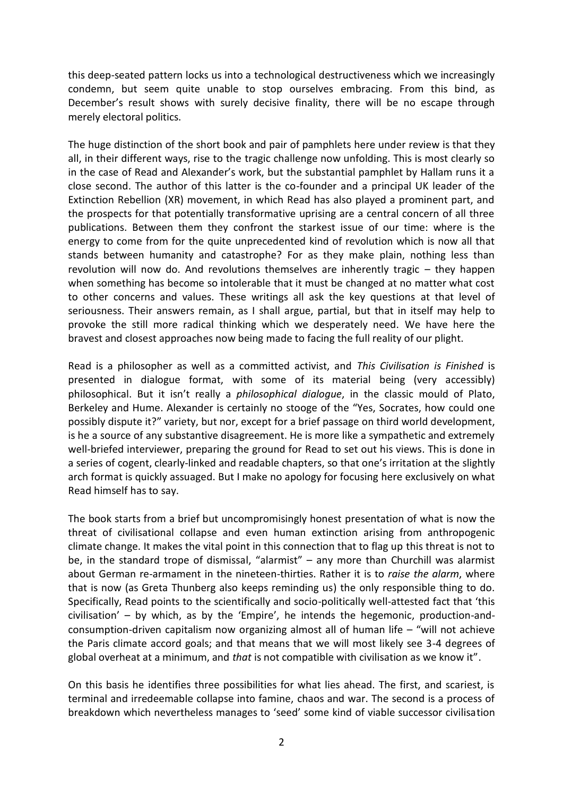this deep-seated pattern locks us into a technological destructiveness which we increasingly condemn, but seem quite unable to stop ourselves embracing. From this bind, as December's result shows with surely decisive finality, there will be no escape through merely electoral politics.

The huge distinction of the short book and pair of pamphlets here under review is that they all, in their different ways, rise to the tragic challenge now unfolding. This is most clearly so in the case of Read and Alexander's work, but the substantial pamphlet by Hallam runs it a close second. The author of this latter is the co-founder and a principal UK leader of the Extinction Rebellion (XR) movement, in which Read has also played a prominent part, and the prospects for that potentially transformative uprising are a central concern of all three publications. Between them they confront the starkest issue of our time: where is the energy to come from for the quite unprecedented kind of revolution which is now all that stands between humanity and catastrophe? For as they make plain, nothing less than revolution will now do. And revolutions themselves are inherently tragic – they happen when something has become so intolerable that it must be changed at no matter what cost to other concerns and values. These writings all ask the key questions at that level of seriousness. Their answers remain, as I shall argue, partial, but that in itself may help to provoke the still more radical thinking which we desperately need. We have here the bravest and closest approaches now being made to facing the full reality of our plight.

Read is a philosopher as well as a committed activist, and *This Civilisation is Finished* is presented in dialogue format, with some of its material being (very accessibly) philosophical. But it isn't really a *philosophical dialogue*, in the classic mould of Plato, Berkeley and Hume. Alexander is certainly no stooge of the "Yes, Socrates, how could one possibly dispute it?" variety, but nor, except for a brief passage on third world development, is he a source of any substantive disagreement. He is more like a sympathetic and extremely well-briefed interviewer, preparing the ground for Read to set out his views. This is done in a series of cogent, clearly-linked and readable chapters, so that one's irritation at the slightly arch format is quickly assuaged. But I make no apology for focusing here exclusively on what Read himself has to say.

The book starts from a brief but uncompromisingly honest presentation of what is now the threat of civilisational collapse and even human extinction arising from anthropogenic climate change. It makes the vital point in this connection that to flag up this threat is not to be, in the standard trope of dismissal, "alarmist" – any more than Churchill was alarmist about German re-armament in the nineteen-thirties. Rather it is to *raise the alarm*, where that is now (as Greta Thunberg also keeps reminding us) the only responsible thing to do. Specifically, Read points to the scientifically and socio-politically well-attested fact that 'this civilisation' – by which, as by the 'Empire', he intends the hegemonic, production-andconsumption-driven capitalism now organizing almost all of human life – "will not achieve the Paris climate accord goals; and that means that we will most likely see 3-4 degrees of global overheat at a minimum, and *that* is not compatible with civilisation as we know it".

On this basis he identifies three possibilities for what lies ahead. The first, and scariest, is terminal and irredeemable collapse into famine, chaos and war. The second is a process of breakdown which nevertheless manages to 'seed' some kind of viable successor civilisation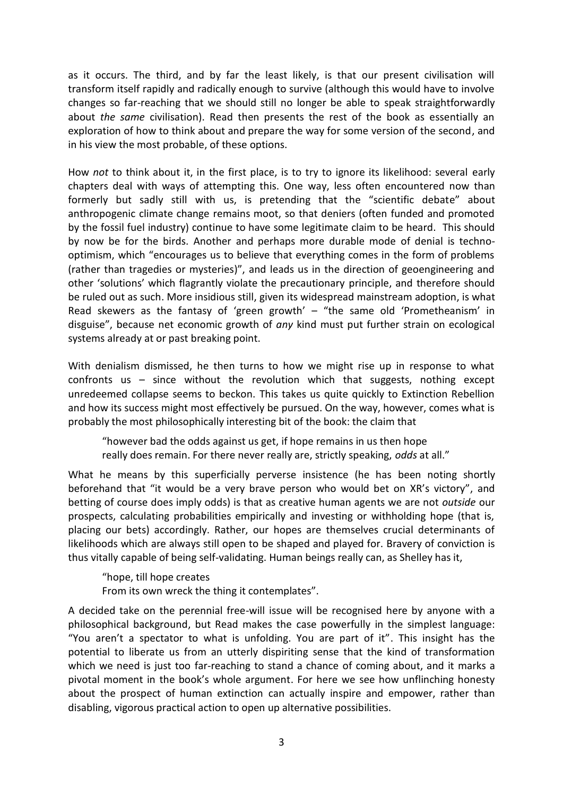as it occurs. The third, and by far the least likely, is that our present civilisation will transform itself rapidly and radically enough to survive (although this would have to involve changes so far-reaching that we should still no longer be able to speak straightforwardly about *the same* civilisation). Read then presents the rest of the book as essentially an exploration of how to think about and prepare the way for some version of the second, and in his view the most probable, of these options.

How *not* to think about it, in the first place, is to try to ignore its likelihood: several early chapters deal with ways of attempting this. One way, less often encountered now than formerly but sadly still with us, is pretending that the "scientific debate" about anthropogenic climate change remains moot, so that deniers (often funded and promoted by the fossil fuel industry) continue to have some legitimate claim to be heard. This should by now be for the birds. Another and perhaps more durable mode of denial is technooptimism, which "encourages us to believe that everything comes in the form of problems (rather than tragedies or mysteries)", and leads us in the direction of geoengineering and other 'solutions' which flagrantly violate the precautionary principle, and therefore should be ruled out as such. More insidious still, given its widespread mainstream adoption, is what Read skewers as the fantasy of 'green growth' – "the same old 'Prometheanism' in disguise", because net economic growth of *any* kind must put further strain on ecological systems already at or past breaking point.

With denialism dismissed, he then turns to how we might rise up in response to what confronts us – since without the revolution which that suggests, nothing except unredeemed collapse seems to beckon. This takes us quite quickly to Extinction Rebellion and how its success might most effectively be pursued. On the way, however, comes what is probably the most philosophically interesting bit of the book: the claim that

"however bad the odds against us get, if hope remains in us then hope really does remain. For there never really are, strictly speaking, *odds* at all."

What he means by this superficially perverse insistence (he has been noting shortly beforehand that "it would be a very brave person who would bet on XR's victory", and betting of course does imply odds) is that as creative human agents we are not *outside* our prospects, calculating probabilities empirically and investing or withholding hope (that is, placing our bets) accordingly. Rather, our hopes are themselves crucial determinants of likelihoods which are always still open to be shaped and played for. Bravery of conviction is thus vitally capable of being self-validating. Human beings really can, as Shelley has it,

"hope, till hope creates

From its own wreck the thing it contemplates".

A decided take on the perennial free-will issue will be recognised here by anyone with a philosophical background, but Read makes the case powerfully in the simplest language: "You aren't a spectator to what is unfolding. You are part of it". This insight has the potential to liberate us from an utterly dispiriting sense that the kind of transformation which we need is just too far-reaching to stand a chance of coming about, and it marks a pivotal moment in the book's whole argument. For here we see how unflinching honesty about the prospect of human extinction can actually inspire and empower, rather than disabling, vigorous practical action to open up alternative possibilities.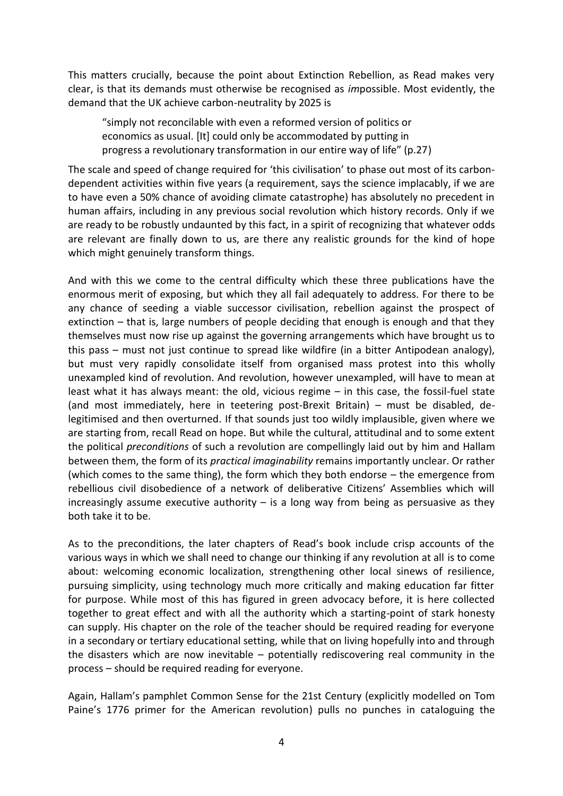This matters crucially, because the point about Extinction Rebellion, as Read makes very clear, is that its demands must otherwise be recognised as *im*possible. Most evidently, the demand that the UK achieve carbon-neutrality by 2025 is

"simply not reconcilable with even a reformed version of politics or economics as usual. [It] could only be accommodated by putting in progress a revolutionary transformation in our entire way of life" (p.27)

The scale and speed of change required for 'this civilisation' to phase out most of its carbondependent activities within five years (a requirement, says the science implacably, if we are to have even a 50% chance of avoiding climate catastrophe) has absolutely no precedent in human affairs, including in any previous social revolution which history records. Only if we are ready to be robustly undaunted by this fact, in a spirit of recognizing that whatever odds are relevant are finally down to us, are there any realistic grounds for the kind of hope which might genuinely transform things.

And with this we come to the central difficulty which these three publications have the enormous merit of exposing, but which they all fail adequately to address. For there to be any chance of seeding a viable successor civilisation, rebellion against the prospect of extinction – that is, large numbers of people deciding that enough is enough and that they themselves must now rise up against the governing arrangements which have brought us to this pass – must not just continue to spread like wildfire (in a bitter Antipodean analogy), but must very rapidly consolidate itself from organised mass protest into this wholly unexampled kind of revolution. And revolution, however unexampled, will have to mean at least what it has always meant: the old, vicious regime – in this case, the fossil-fuel state (and most immediately, here in teetering post-Brexit Britain) – must be disabled, delegitimised and then overturned. If that sounds just too wildly implausible, given where we are starting from, recall Read on hope. But while the cultural, attitudinal and to some extent the political *preconditions* of such a revolution are compellingly laid out by him and Hallam between them, the form of its *practical imaginability* remains importantly unclear. Or rather (which comes to the same thing), the form which they both endorse – the emergence from rebellious civil disobedience of a network of deliberative Citizens' Assemblies which will increasingly assume executive authority  $-$  is a long way from being as persuasive as they both take it to be.

As to the preconditions, the later chapters of Read's book include crisp accounts of the various ways in which we shall need to change our thinking if any revolution at all is to come about: welcoming economic localization, strengthening other local sinews of resilience, pursuing simplicity, using technology much more critically and making education far fitter for purpose. While most of this has figured in green advocacy before, it is here collected together to great effect and with all the authority which a starting-point of stark honesty can supply. His chapter on the role of the teacher should be required reading for everyone in a secondary or tertiary educational setting, while that on living hopefully into and through the disasters which are now inevitable – potentially rediscovering real community in the process – should be required reading for everyone.

Again, Hallam's pamphlet Common Sense for the 21st Century (explicitly modelled on Tom Paine's 1776 primer for the American revolution) pulls no punches in cataloguing the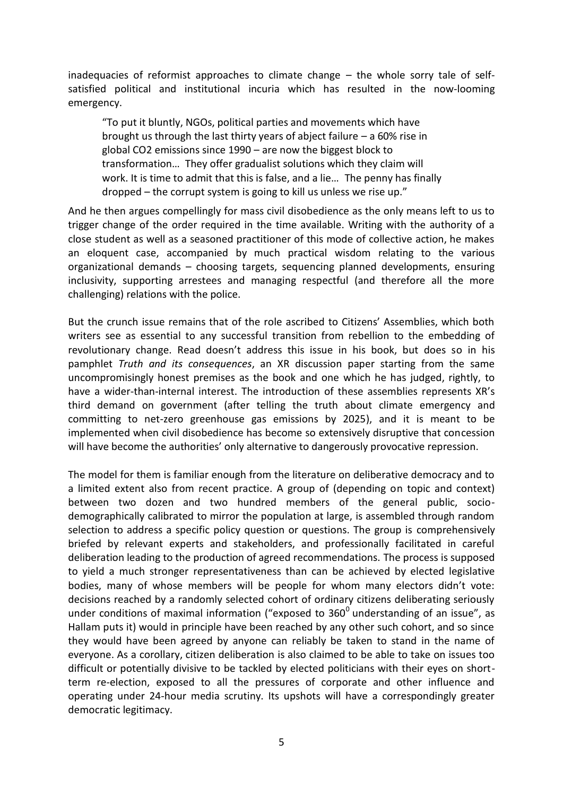inadequacies of reformist approaches to climate change – the whole sorry tale of selfsatisfied political and institutional incuria which has resulted in the now-looming emergency.

"To put it bluntly, NGOs, political parties and movements which have brought us through the last thirty years of abject failure – a 60% rise in global CO2 emissions since 1990 – are now the biggest block to transformation… They offer gradualist solutions which they claim will work. It is time to admit that this is false, and a lie… The penny has finally dropped – the corrupt system is going to kill us unless we rise up."

And he then argues compellingly for mass civil disobedience as the only means left to us to trigger change of the order required in the time available. Writing with the authority of a close student as well as a seasoned practitioner of this mode of collective action, he makes an eloquent case, accompanied by much practical wisdom relating to the various organizational demands – choosing targets, sequencing planned developments, ensuring inclusivity, supporting arrestees and managing respectful (and therefore all the more challenging) relations with the police.

But the crunch issue remains that of the role ascribed to Citizens' Assemblies, which both writers see as essential to any successful transition from rebellion to the embedding of revolutionary change. Read doesn't address this issue in his book, but does so in his pamphlet *Truth and its consequences*, an XR discussion paper starting from the same uncompromisingly honest premises as the book and one which he has judged, rightly, to have a wider-than-internal interest. The introduction of these assemblies represents XR's third demand on government (after telling the truth about climate emergency and committing to net-zero greenhouse gas emissions by 2025), and it is meant to be implemented when civil disobedience has become so extensively disruptive that concession will have become the authorities' only alternative to dangerously provocative repression.

The model for them is familiar enough from the literature on deliberative democracy and to a limited extent also from recent practice. A group of (depending on topic and context) between two dozen and two hundred members of the general public, sociodemographically calibrated to mirror the population at large, is assembled through random selection to address a specific policy question or questions. The group is comprehensively briefed by relevant experts and stakeholders, and professionally facilitated in careful deliberation leading to the production of agreed recommendations. The process is supposed to yield a much stronger representativeness than can be achieved by elected legislative bodies, many of whose members will be people for whom many electors didn't vote: decisions reached by a randomly selected cohort of ordinary citizens deliberating seriously under conditions of maximal information ("exposed to  $360^{\circ}$  understanding of an issue", as Hallam puts it) would in principle have been reached by any other such cohort, and so since they would have been agreed by anyone can reliably be taken to stand in the name of everyone. As a corollary, citizen deliberation is also claimed to be able to take on issues too difficult or potentially divisive to be tackled by elected politicians with their eyes on shortterm re-election, exposed to all the pressures of corporate and other influence and operating under 24-hour media scrutiny. Its upshots will have a correspondingly greater democratic legitimacy.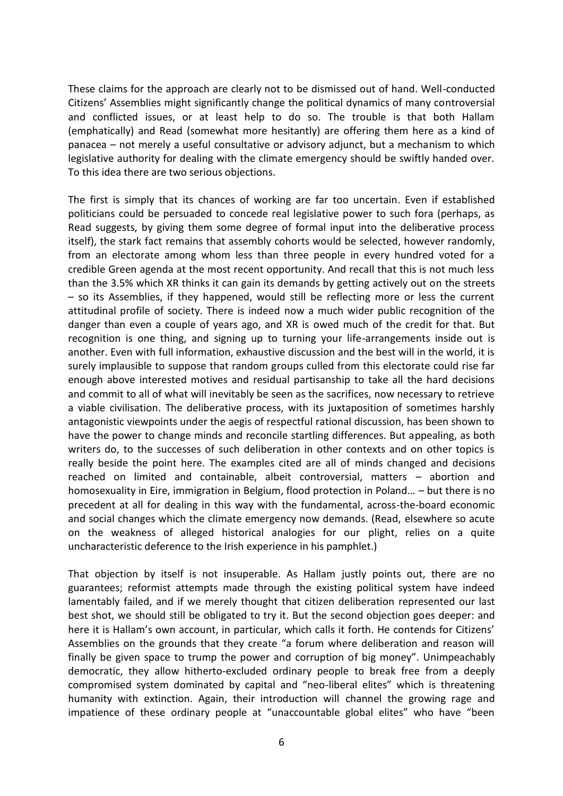These claims for the approach are clearly not to be dismissed out of hand. Well-conducted Citizens' Assemblies might significantly change the political dynamics of many controversial and conflicted issues, or at least help to do so. The trouble is that both Hallam (emphatically) and Read (somewhat more hesitantly) are offering them here as a kind of panacea – not merely a useful consultative or advisory adjunct, but a mechanism to which legislative authority for dealing with the climate emergency should be swiftly handed over. To this idea there are two serious objections.

The first is simply that its chances of working are far too uncertain. Even if established politicians could be persuaded to concede real legislative power to such fora (perhaps, as Read suggests, by giving them some degree of formal input into the deliberative process itself), the stark fact remains that assembly cohorts would be selected, however randomly, from an electorate among whom less than three people in every hundred voted for a credible Green agenda at the most recent opportunity. And recall that this is not much less than the 3.5% which XR thinks it can gain its demands by getting actively out on the streets – so its Assemblies, if they happened, would still be reflecting more or less the current attitudinal profile of society. There is indeed now a much wider public recognition of the danger than even a couple of years ago, and XR is owed much of the credit for that. But recognition is one thing, and signing up to turning your life-arrangements inside out is another. Even with full information, exhaustive discussion and the best will in the world, it is surely implausible to suppose that random groups culled from this electorate could rise far enough above interested motives and residual partisanship to take all the hard decisions and commit to all of what will inevitably be seen as the sacrifices, now necessary to retrieve a viable civilisation. The deliberative process, with its juxtaposition of sometimes harshly antagonistic viewpoints under the aegis of respectful rational discussion, has been shown to have the power to change minds and reconcile startling differences. But appealing, as both writers do, to the successes of such deliberation in other contexts and on other topics is really beside the point here. The examples cited are all of minds changed and decisions reached on limited and containable, albeit controversial, matters – abortion and homosexuality in Eire, immigration in Belgium, flood protection in Poland… – but there is no precedent at all for dealing in this way with the fundamental, across-the-board economic and social changes which the climate emergency now demands. (Read, elsewhere so acute on the weakness of alleged historical analogies for our plight, relies on a quite uncharacteristic deference to the Irish experience in his pamphlet.)

That objection by itself is not insuperable. As Hallam justly points out, there are no guarantees; reformist attempts made through the existing political system have indeed lamentably failed, and if we merely thought that citizen deliberation represented our last best shot, we should still be obligated to try it. But the second objection goes deeper: and here it is Hallam's own account, in particular, which calls it forth. He contends for Citizens' Assemblies on the grounds that they create "a forum where deliberation and reason will finally be given space to trump the power and corruption of big money". Unimpeachably democratic, they allow hitherto-excluded ordinary people to break free from a deeply compromised system dominated by capital and "neo-liberal elites" which is threatening humanity with extinction. Again, their introduction will channel the growing rage and impatience of these ordinary people at "unaccountable global elites" who have "been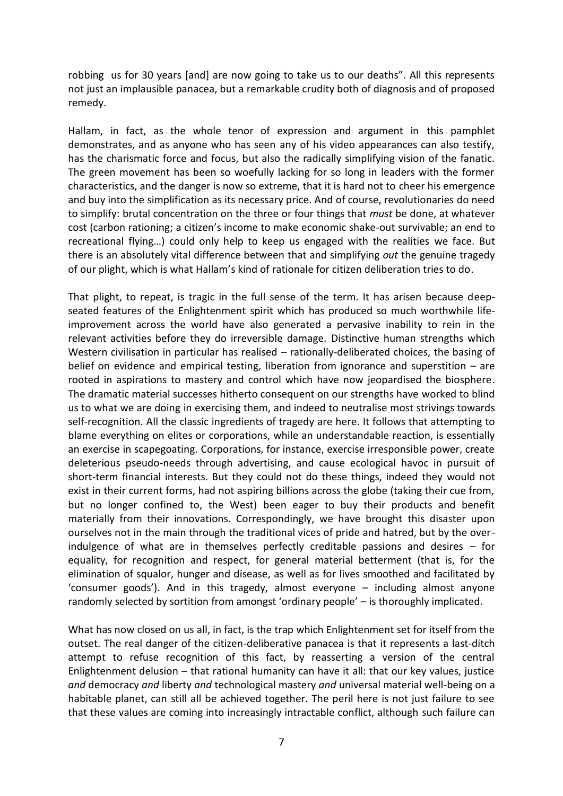robbing us for 30 years [and] are now going to take us to our deaths". All this represents not just an implausible panacea, but a remarkable crudity both of diagnosis and of proposed remedy.

Hallam, in fact, as the whole tenor of expression and argument in this pamphlet demonstrates, and as anyone who has seen any of his video appearances can also testify, has the charismatic force and focus, but also the radically simplifying vision of the fanatic. The green movement has been so woefully lacking for so long in leaders with the former characteristics, and the danger is now so extreme, that it is hard not to cheer his emergence and buy into the simplification as its necessary price. And of course, revolutionaries do need to simplify: brutal concentration on the three or four things that *must* be done, at whatever cost (carbon rationing; a citizen's income to make economic shake-out survivable; an end to recreational flying…) could only help to keep us engaged with the realities we face. But there is an absolutely vital difference between that and simplifying *out* the genuine tragedy of our plight, which is what Hallam's kind of rationale for citizen deliberation tries to do.

That plight, to repeat, is tragic in the full sense of the term. It has arisen because deepseated features of the Enlightenment spirit which has produced so much worthwhile lifeimprovement across the world have also generated a pervasive inability to rein in the relevant activities before they do irreversible damage. Distinctive human strengths which Western civilisation in particular has realised – rationally-deliberated choices, the basing of belief on evidence and empirical testing, liberation from ignorance and superstition – are rooted in aspirations to mastery and control which have now jeopardised the biosphere. The dramatic material successes hitherto consequent on our strengths have worked to blind us to what we are doing in exercising them, and indeed to neutralise most strivings towards self-recognition. All the classic ingredients of tragedy are here. It follows that attempting to blame everything on elites or corporations, while an understandable reaction, is essentially an exercise in scapegoating. Corporations, for instance, exercise irresponsible power, create deleterious pseudo-needs through advertising, and cause ecological havoc in pursuit of short-term financial interests. But they could not do these things, indeed they would not exist in their current forms, had not aspiring billions across the globe (taking their cue from, but no longer confined to, the West) been eager to buy their products and benefit materially from their innovations. Correspondingly, we have brought this disaster upon ourselves not in the main through the traditional vices of pride and hatred, but by the overindulgence of what are in themselves perfectly creditable passions and desires – for equality, for recognition and respect, for general material betterment (that is, for the elimination of squalor, hunger and disease, as well as for lives smoothed and facilitated by 'consumer goods'). And in this tragedy, almost everyone – including almost anyone randomly selected by sortition from amongst 'ordinary people' – is thoroughly implicated.

What has now closed on us all, in fact, is the trap which Enlightenment set for itself from the outset. The real danger of the citizen-deliberative panacea is that it represents a last-ditch attempt to refuse recognition of this fact, by reasserting a version of the central Enlightenment delusion – that rational humanity can have it all: that our key values, justice *and* democracy *and* liberty *and* technological mastery *and* universal material well-being on a habitable planet, can still all be achieved together. The peril here is not just failure to see that these values are coming into increasingly intractable conflict, although such failure can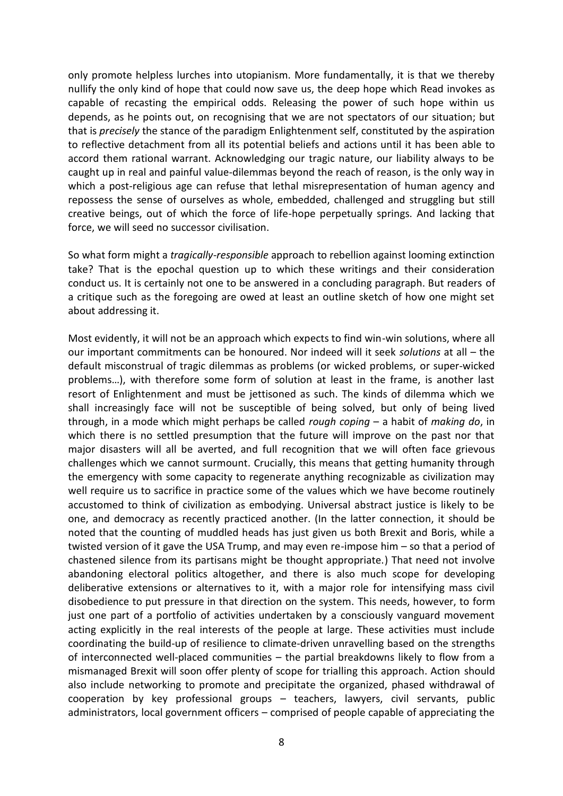only promote helpless lurches into utopianism. More fundamentally, it is that we thereby nullify the only kind of hope that could now save us, the deep hope which Read invokes as capable of recasting the empirical odds. Releasing the power of such hope within us depends, as he points out, on recognising that we are not spectators of our situation; but that is *precisely* the stance of the paradigm Enlightenment self, constituted by the aspiration to reflective detachment from all its potential beliefs and actions until it has been able to accord them rational warrant. Acknowledging our tragic nature, our liability always to be caught up in real and painful value-dilemmas beyond the reach of reason, is the only way in which a post-religious age can refuse that lethal misrepresentation of human agency and repossess the sense of ourselves as whole, embedded, challenged and struggling but still creative beings, out of which the force of life-hope perpetually springs. And lacking that force, we will seed no successor civilisation.

So what form might a *tragically-responsible* approach to rebellion against looming extinction take? That is the epochal question up to which these writings and their consideration conduct us. It is certainly not one to be answered in a concluding paragraph. But readers of a critique such as the foregoing are owed at least an outline sketch of how one might set about addressing it.

Most evidently, it will not be an approach which expects to find win-win solutions, where all our important commitments can be honoured. Nor indeed will it seek *solutions* at all – the default misconstrual of tragic dilemmas as problems (or wicked problems, or super-wicked problems…), with therefore some form of solution at least in the frame, is another last resort of Enlightenment and must be jettisoned as such. The kinds of dilemma which we shall increasingly face will not be susceptible of being solved, but only of being lived through, in a mode which might perhaps be called *rough coping* – a habit of *making do*, in which there is no settled presumption that the future will improve on the past nor that major disasters will all be averted, and full recognition that we will often face grievous challenges which we cannot surmount. Crucially, this means that getting humanity through the emergency with some capacity to regenerate anything recognizable as civilization may well require us to sacrifice in practice some of the values which we have become routinely accustomed to think of civilization as embodying. Universal abstract justice is likely to be one, and democracy as recently practiced another. (In the latter connection, it should be noted that the counting of muddled heads has just given us both Brexit and Boris, while a twisted version of it gave the USA Trump, and may even re-impose him – so that a period of chastened silence from its partisans might be thought appropriate.) That need not involve abandoning electoral politics altogether, and there is also much scope for developing deliberative extensions or alternatives to it, with a major role for intensifying mass civil disobedience to put pressure in that direction on the system. This needs, however, to form just one part of a portfolio of activities undertaken by a consciously vanguard movement acting explicitly in the real interests of the people at large. These activities must include coordinating the build-up of resilience to climate-driven unravelling based on the strengths of interconnected well-placed communities – the partial breakdowns likely to flow from a mismanaged Brexit will soon offer plenty of scope for trialling this approach. Action should also include networking to promote and precipitate the organized, phased withdrawal of cooperation by key professional groups – teachers, lawyers, civil servants, public administrators, local government officers – comprised of people capable of appreciating the